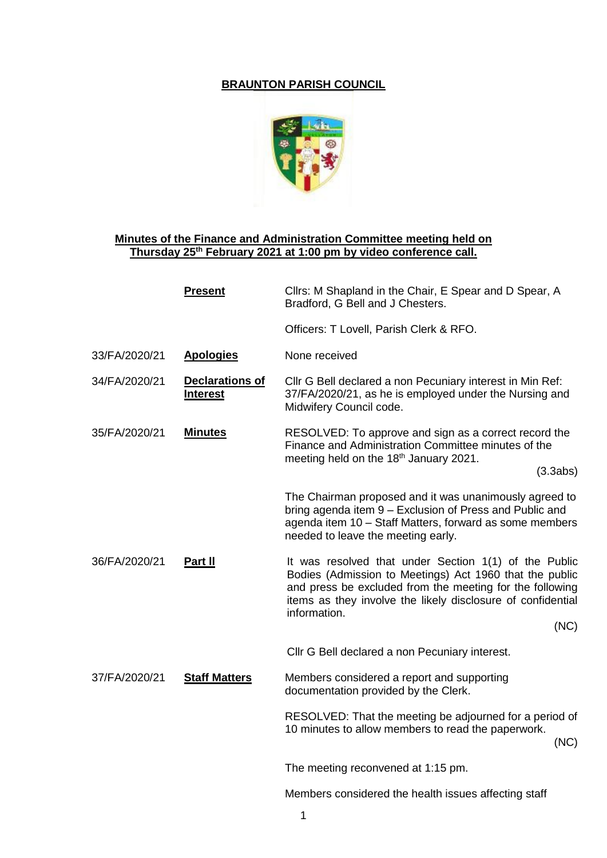## **BRAUNTON PARISH COUNCIL**



## **Minutes of the Finance and Administration Committee meeting held on Thursday 25th February 2021 at 1:00 pm by video conference call.**

|               | <b>Present</b>                            | Cllrs: M Shapland in the Chair, E Spear and D Spear, A<br>Bradford, G Bell and J Chesters.                                                                                                                                                                          |
|---------------|-------------------------------------------|---------------------------------------------------------------------------------------------------------------------------------------------------------------------------------------------------------------------------------------------------------------------|
|               |                                           | Officers: T Lovell, Parish Clerk & RFO.                                                                                                                                                                                                                             |
| 33/FA/2020/21 | <b>Apologies</b>                          | None received                                                                                                                                                                                                                                                       |
| 34/FA/2020/21 | <b>Declarations of</b><br><b>Interest</b> | Cllr G Bell declared a non Pecuniary interest in Min Ref:<br>37/FA/2020/21, as he is employed under the Nursing and<br>Midwifery Council code.                                                                                                                      |
| 35/FA/2020/21 | <b>Minutes</b>                            | RESOLVED: To approve and sign as a correct record the<br>Finance and Administration Committee minutes of the<br>meeting held on the 18 <sup>th</sup> January 2021.<br>(3.3abs)                                                                                      |
|               |                                           | The Chairman proposed and it was unanimously agreed to<br>bring agenda item 9 - Exclusion of Press and Public and<br>agenda item 10 - Staff Matters, forward as some members<br>needed to leave the meeting early.                                                  |
| 36/FA/2020/21 | Part II                                   | It was resolved that under Section 1(1) of the Public<br>Bodies (Admission to Meetings) Act 1960 that the public<br>and press be excluded from the meeting for the following<br>items as they involve the likely disclosure of confidential<br>information.<br>(NC) |
|               |                                           | Cllr G Bell declared a non Pecuniary interest.                                                                                                                                                                                                                      |
| 37/FA/2020/21 | <b>Staff Matters</b>                      | Members considered a report and supporting<br>documentation provided by the Clerk.                                                                                                                                                                                  |
|               |                                           | RESOLVED: That the meeting be adjourned for a period of<br>10 minutes to allow members to read the paperwork.<br>(NC)                                                                                                                                               |
|               |                                           | The meeting reconvened at 1:15 pm.                                                                                                                                                                                                                                  |
|               |                                           | Members considered the health issues affecting staff                                                                                                                                                                                                                |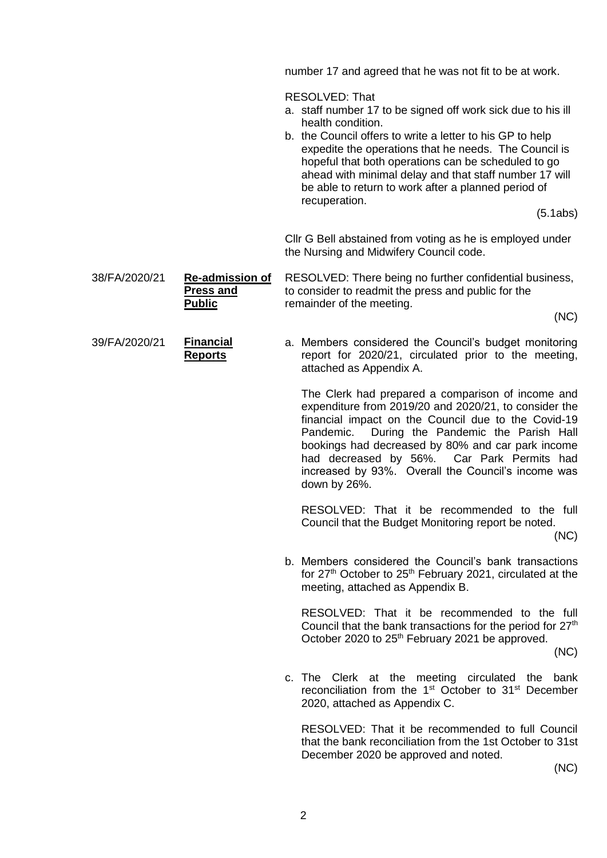number 17 and agreed that he was not fit to be at work.

RESOLVED: That

- a. staff number 17 to be signed off work sick due to his ill health condition.
- b. the Council offers to write a letter to his GP to help expedite the operations that he needs. The Council is hopeful that both operations can be scheduled to go ahead with minimal delay and that staff number 17 will be able to return to work after a planned period of recuperation.

(5.1abs)

Cllr G Bell abstained from voting as he is employed under the Nursing and Midwifery Council code.

38/FA/2020/21 **Re-admission of Press and Public** RESOLVED: There being no further confidential business, to consider to readmit the press and public for the remainder of the meeting.

(NC)

39/FA/2020/21 **Financial Reports** 

a. Members considered the Council's budget monitoring report for 2020/21, circulated prior to the meeting, attached as Appendix A.

The Clerk had prepared a comparison of income and expenditure from 2019/20 and 2020/21, to consider the financial impact on the Council due to the Covid-19 Pandemic. During the Pandemic the Parish Hall bookings had decreased by 80% and car park income had decreased by 56%. Car Park Permits had increased by 93%. Overall the Council's income was down by 26%.

RESOLVED: That it be recommended to the full Council that the Budget Monitoring report be noted.

(NC)

b. Members considered the Council's bank transactions for  $27<sup>th</sup>$  October to  $25<sup>th</sup>$  February 2021, circulated at the meeting, attached as Appendix B.

RESOLVED: That it be recommended to the full Council that the bank transactions for the period for  $27<sup>th</sup>$ October 2020 to 25<sup>th</sup> February 2021 be approved.

(NC)

c. The Clerk at the meeting circulated the bank reconciliation from the 1<sup>st</sup> October to 31<sup>st</sup> December 2020, attached as Appendix C.

RESOLVED: That it be recommended to full Council that the bank reconciliation from the 1st October to 31st December 2020 be approved and noted.

(NC)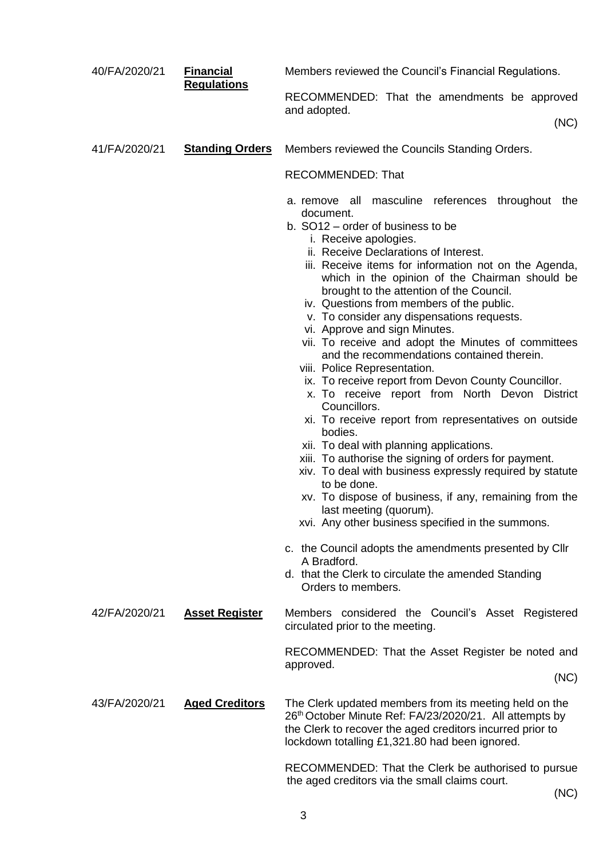| 40/FA/2020/21 | <b>Financial</b><br><b>Regulations</b> | Members reviewed the Council's Financial Regulations.                                                                                                                                                                                                                                                                                                                                                                                                                                                                                                                                                                                                                                                                                                                                                                                                                                                                                                                                                                                                                                                               |
|---------------|----------------------------------------|---------------------------------------------------------------------------------------------------------------------------------------------------------------------------------------------------------------------------------------------------------------------------------------------------------------------------------------------------------------------------------------------------------------------------------------------------------------------------------------------------------------------------------------------------------------------------------------------------------------------------------------------------------------------------------------------------------------------------------------------------------------------------------------------------------------------------------------------------------------------------------------------------------------------------------------------------------------------------------------------------------------------------------------------------------------------------------------------------------------------|
|               |                                        | RECOMMENDED: That the amendments be approved<br>and adopted.<br>(NC)                                                                                                                                                                                                                                                                                                                                                                                                                                                                                                                                                                                                                                                                                                                                                                                                                                                                                                                                                                                                                                                |
|               |                                        |                                                                                                                                                                                                                                                                                                                                                                                                                                                                                                                                                                                                                                                                                                                                                                                                                                                                                                                                                                                                                                                                                                                     |
| 41/FA/2020/21 | <b>Standing Orders</b>                 | Members reviewed the Councils Standing Orders.                                                                                                                                                                                                                                                                                                                                                                                                                                                                                                                                                                                                                                                                                                                                                                                                                                                                                                                                                                                                                                                                      |
|               |                                        | <b>RECOMMENDED: That</b>                                                                                                                                                                                                                                                                                                                                                                                                                                                                                                                                                                                                                                                                                                                                                                                                                                                                                                                                                                                                                                                                                            |
|               |                                        | a. remove all masculine references throughout the<br>document.<br>b. SO12 – order of business to be<br>i. Receive apologies.<br>ii. Receive Declarations of Interest.<br>iii. Receive items for information not on the Agenda,<br>which in the opinion of the Chairman should be<br>brought to the attention of the Council.<br>iv. Questions from members of the public.<br>v. To consider any dispensations requests.<br>vi. Approve and sign Minutes.<br>vii. To receive and adopt the Minutes of committees<br>and the recommendations contained therein.<br>viii. Police Representation.<br>ix. To receive report from Devon County Councillor.<br>x. To receive report from North Devon District<br>Councillors.<br>xi. To receive report from representatives on outside<br>bodies.<br>xii. To deal with planning applications.<br>xiii. To authorise the signing of orders for payment.<br>xiv. To deal with business expressly required by statute<br>to be done.<br>xv. To dispose of business, if any, remaining from the<br>last meeting (quorum).<br>xvi. Any other business specified in the summons. |
|               |                                        | c. the Council adopts the amendments presented by Cllr                                                                                                                                                                                                                                                                                                                                                                                                                                                                                                                                                                                                                                                                                                                                                                                                                                                                                                                                                                                                                                                              |
|               |                                        | A Bradford.<br>d. that the Clerk to circulate the amended Standing<br>Orders to members.                                                                                                                                                                                                                                                                                                                                                                                                                                                                                                                                                                                                                                                                                                                                                                                                                                                                                                                                                                                                                            |
| 42/FA/2020/21 | <b>Asset Register</b>                  | Members considered the Council's Asset Registered<br>circulated prior to the meeting.                                                                                                                                                                                                                                                                                                                                                                                                                                                                                                                                                                                                                                                                                                                                                                                                                                                                                                                                                                                                                               |
|               |                                        | RECOMMENDED: That the Asset Register be noted and<br>approved.                                                                                                                                                                                                                                                                                                                                                                                                                                                                                                                                                                                                                                                                                                                                                                                                                                                                                                                                                                                                                                                      |
|               |                                        | (NC)                                                                                                                                                                                                                                                                                                                                                                                                                                                                                                                                                                                                                                                                                                                                                                                                                                                                                                                                                                                                                                                                                                                |
| 43/FA/2020/21 | <b>Aged Creditors</b>                  | The Clerk updated members from its meeting held on the<br>26th October Minute Ref: FA/23/2020/21. All attempts by<br>the Clerk to recover the aged creditors incurred prior to<br>lockdown totalling £1,321.80 had been ignored.                                                                                                                                                                                                                                                                                                                                                                                                                                                                                                                                                                                                                                                                                                                                                                                                                                                                                    |
|               |                                        | RECOMMENDED: That the Clerk be authorised to pursue<br>the aged creditors via the small claims court.                                                                                                                                                                                                                                                                                                                                                                                                                                                                                                                                                                                                                                                                                                                                                                                                                                                                                                                                                                                                               |